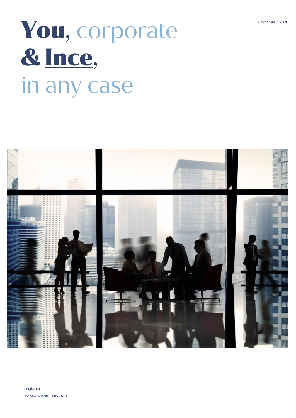# You, corporate & Ince, in any case

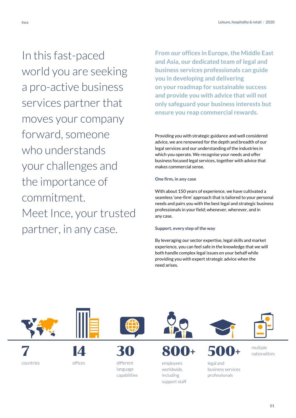In this fast-paced world you are seeking a pro-active business services partner that moves your company forward, someone who understands your challenges and the importance of commitment. Meet Ince, your trusted partner, in any case.

**From our offices in Europe, the Middle East and Asia, our dedicated team of legal and business services professionals can guide you in developing and delivering on your roadmap for sustainable success and provide you with advice that will not only safeguard your business interests but ensure you reap commercial rewards.**

Providing you with strategic guidance and well considered advice, we are renowned for the depth and breadth of our legal services and our understanding of the industries in which you operate. We recognise your needs and offer business focused legal services, together with advice that makes commercial sense.

# **One firm, in any case**

With about 150 years of experience, we have cultivated a seamless 'one-firm' approach that is tailored to your personal needs and pairs you with the best legal and strategic business professionals in your field; whenever, wherever, and in any case.

# **Support, every step of the way**

By leveraging our sector expertise, legal skills and market experience, you can feel safe in the knowledge that we will both handle complex legal issues on your behalf while providing you with expert strategic advice when the need arises.

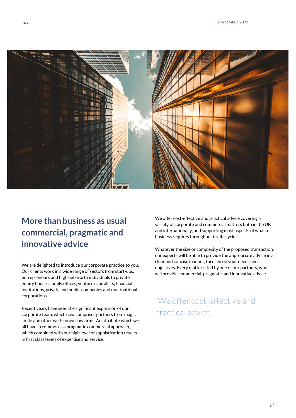

# **More than business as usual commercial, pragmatic and innovative advice**

We are delighted to introduce our corporate practice to you. Our clients work in a wide range of sectors from start-ups, entrepreneurs and high net-worth individuals to private equity houses, family offices, venture capitalists, financial institutions, private and public companies and multinational corporations.

Recent years have seen the significant expansion of our corporate team, which now comprises partners from magic circle and other well-known law firms. An attribute which we all have in common is a pragmatic commercial approach, which combined with our high level of sophistication results in first class levels of expertise and service.

We offer cost-effective and practical advice covering a variety of corporate and commercial matters both in the UK and internationally, and supporting most aspects of what a business requires throughout its life cycle.

Whatever the size or complexity of the proposed transaction, our experts will be able to provide the appropriate advice in a clear and concise manner, focused on your needs and objectives. Every matter is led by one of our partners, who will provide commercial, pragmatic and innovative advice.

# "We offer cost-effective and practical advice."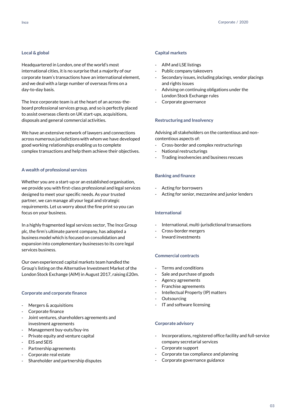# **Local & global**

Headquartered in London, one of the world's most international cities, it is no surprise that a majority of our corporate team's transactions have an international element, and we deal with a large number of overseas firms on a day-to-day basis.

The Ince corporate team is at the heart of an across-theboard professional services group, and so is perfectly placed to assist overseas clients on UK start-ups, acquisitions, disposals and general commercial activities.

We have an extensive network of lawyers and connections across numerous jurisdictions with whom we have developed good working relationships enabling us to complete complex transactions and help them achieve their objectives.

# **A wealth of professional services**

Whether you are a start-up or an established organisation, we provide you with first-class professional and legal services designed to meet your specific needs. As your trusted partner, we can manage all your legal and strategic requirements. Let us worry about the fine print so you can focus on your business.

In a highly fragmented legal services sector, The Ince Group plc, the firm's ultimate parent company, has adopted a business model which is focused on consolidation and expansion into complementary businesses to its core legal services business.

Our own experienced capital markets team handled the Group's listing on the Alternative Investment Market of the London Stock Exchange (AIM) in August 2017, raising £20m.

## **Corporate and corporate finance**

- Mergers & acquisitions
- Corporate finance
- Joint ventures, shareholders agreements and investment agreements
- Management buy-outs/buy-ins
- Private equity and venture capital
- EIS and SEIS
- Partnership agreements
- Corporate real estate
- Shareholder and partnership disputes

## **Capital markets**

- AIM and LSE listings
- Public company takeovers
- Secondary issues, including placings, vendor placings and rights issues
- Advising on continuing obligations under the London Stock Exchange rules
- Corporate governance

#### **Restructuring and Insolvency**

Advising all stakeholders on the contentious and noncontentious aspects of:

- Cross-border and complex restructurings
- National restructurings
- Trading insolvencies and business rescues

# **Banking and finance**

- Acting for borrowers
- Acting for senior, mezzanine and junior lenders

## **International**

- International, multi-jurisdictional transactions
- Cross-border mergers
- Inward investments

# **Commercial contracts**

- Terms and conditions
- Sale and purchase of goods
- Agency agreements
- Franchise agreements
- Intellectual Property (IP) matters
- **Outsourcing**
- IT and software licensing

#### **Corporate advisory**

- Incorporations, registered office facility and full-service company secretarial services
- Corporate support
- Corporate tax compliance and planning
- Corporate governance guidance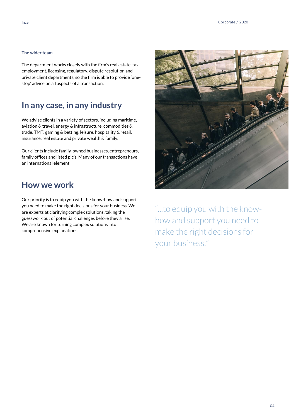# **The wider team**

The department works closely with the firm's real estate, tax, employment, licensing, regulatory, dispute resolution and private client departments, so the firm is able to provide 'onestop' advice on all aspects of a transaction.

# **In any case, in any industry**

We advise clients in a variety of sectors, including maritime, aviation & travel, energy & infrastructure, commodities & trade, TMT, gaming & betting, leisure, hospitality & retail, insurance, real estate and private wealth & family.

Our clients include family-owned businesses, entrepreneurs, family offices and listed plc's. Many of our transactions have an international element.

# **How we work**

Our priority is to equip you with the know-how and support you need to make the right decisions for your business. We are experts at clarifying complex solutions, taking the guesswork out of potential challenges before they arise. We are known for turning complex solutions into comprehensive explanations.



"...to equip you with the knowhow and support you need to make the right decisions for your business."